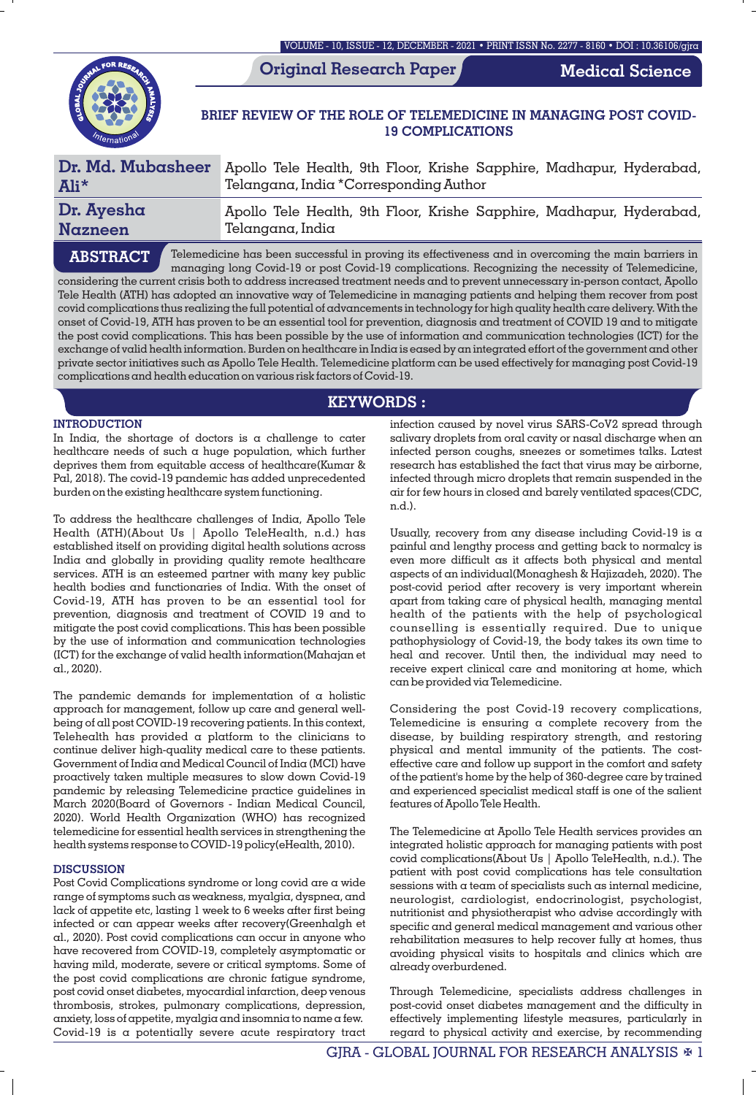VOLUME - 10, ISSUE - 12, DECEMBER - 2021 • PRINT ISSN No. 2277 - 8160 • DOI : 10.36106/gjra

**Original Research Paper**

**Medical Science**

# **BRIEF REVIEW OF THE ROLE OF TELEMEDICINE IN MANAGING POST COVID-19 COMPLICATIONS**

| Dr. Md. Mubasheer | Apollo Tele Health, 9th Floor, Krishe Sapphire, Madhapur, Hyderabad, |
|-------------------|----------------------------------------------------------------------|
| Ali*              | Telangana, India *Corresponding Author                               |
| Dr. Ayesha        | Apollo Tele Health, 9th Floor, Krishe Sapphire, Madhapur, Hyderabad, |
| Nazneen           | Telangana, India                                                     |
|                   |                                                                      |

Telemedicine has been successful in proving its effectiveness and in overcoming the main barriers in managing long Covid-19 or post Covid-19 complications. Recognizing the necessity of Telemedicine, considering the current crisis both to address increased treatment needs and to prevent unnecessary in-person contact, Apollo Tele Health (ATH) has adopted an innovative way of Telemedicine in managing patients and helping them recover from post covid complications thus realizing the full potential of advancements in technology for high quality health care delivery. With the onset of Covid-19, ATH has proven to be an essential tool for prevention, diagnosis and treatment of COVID 19 and to mitigate the post covid complications. This has been possible by the use of information and communication technologies (ICT) for the exchange of valid health information. Burden on healthcare in India is eased by an integrated effort of the government and other private sector initiatives such as Apollo Tele Health. Telemedicine platform can be used effectively for managing post Covid-19 complications and health education on various risk factors of Covid-19. **ABSTRACT**

# **KEYWORDS :**

## **INTRODUCTION**

In India, the shortage of doctors is a challenge to cater healthcare needs of such a huge population, which further deprives them from equitable access of healthcare(Kumar & Pal, 2018). The covid-19 pandemic has added unprecedented burden on the existing healthcare system functioning.

To address the healthcare challenges of India, Apollo Tele Health (ATH)(About Us | Apollo TeleHealth, n.d.) has established itself on providing digital health solutions across India and globally in providing quality remote healthcare services. ATH is an esteemed partner with many key public health bodies and functionaries of India. With the onset of Covid-19, ATH has proven to be an essential tool for prevention, diagnosis and treatment of COVID 19 and to mitigate the post covid complications. This has been possible by the use of information and communication technologies (ICT) for the exchange of valid health information(Mahajan et al., 2020).

The pandemic demands for implementation of  $\alpha$  holistic approach for management, follow up care and general wellbeing of all post COVID-19 recovering patients. In this context, Telehealth has provided a platform to the clinicians to continue deliver high-quality medical care to these patients. Government of India and Medical Council of India (MCI) have proactively taken multiple measures to slow down Covid-19 pandemic by releasing Telemedicine practice guidelines in March 2020(Board of Governors - Indian Medical Council, 2020). World Health Organization (WHO) has recognized telemedicine for essential health services in strengthening the health systems response to COVID-19 policy(eHealth, 2010).

## **DISCUSSION**

Post Covid Complications syndrome or long covid are a wide range of symptoms such as weakness, myalgia, dyspnea, and lack of appetite etc, lasting 1 week to 6 weeks after first being infected or can appear weeks after recovery(Greenhalgh et al., 2020). Post covid complications can occur in anyone who have recovered from COVID-19, completely asymptomatic or having mild, moderate, severe or critical symptoms. Some of the post covid complications are chronic fatigue syndrome, post covid onset diabetes, myocardial infarction, deep venous thrombosis, strokes, pulmonary complications, depression, anxiety, loss of appetite, myalgia and insomnia to name a few. Covid-19 is a potentially severe acute respiratory tract

infection caused by novel virus SARS-CoV2 spread through salivary droplets from oral cavity or nasal discharge when an infected person coughs, sneezes or sometimes talks. Latest research has established the fact that virus may be airborne, infected through micro droplets that remain suspended in the air for few hours in closed and barely ventilated spaces(CDC, n.d.).

Usually, recovery from any disease including Covid-19 is  $\alpha$ painful and lengthy process and getting back to normalcy is even more difficult as it affects both physical and mental aspects of an individual(Monaghesh & Hajizadeh, 2020). The post-covid period after recovery is very important wherein apart from taking care of physical health, managing mental health of the patients with the help of psychological counselling is essentially required. Due to unique pathophysiology of Covid-19, the body takes its own time to heal and recover. Until then, the individual may need to receive expert clinical care and monitoring at home, which can be provided via Telemedicine.

Considering the post Covid-19 recovery complications, Telemedicine is ensuring a complete recovery from the disease, by building respiratory strength, and restoring physical and mental immunity of the patients. The costeffective care and follow up support in the comfort and safety of the patient's home by the help of 360-degree care by trained and experienced specialist medical staff is one of the salient features of Apollo Tele Health.

The Telemedicine at Apollo Tele Health services provides an integrated holistic approach for managing patients with post covid complications(About Us | Apollo TeleHealth, n.d.). The patient with post covid complications has tele consultation sessions with a team of specialists such as internal medicine, neurologist, cardiologist, endocrinologist, psychologist, nutritionist and physiotherapist who advise accordingly with specific and general medical management and various other rehabilitation measures to help recover fully at homes, thus avoiding physical visits to hospitals and clinics which are already overburdened.

Through Telemedicine, specialists address challenges in post-covid onset diabetes management and the difficulty in effectively implementing lifestyle measures, particularly in regard to physical activity and exercise, by recommending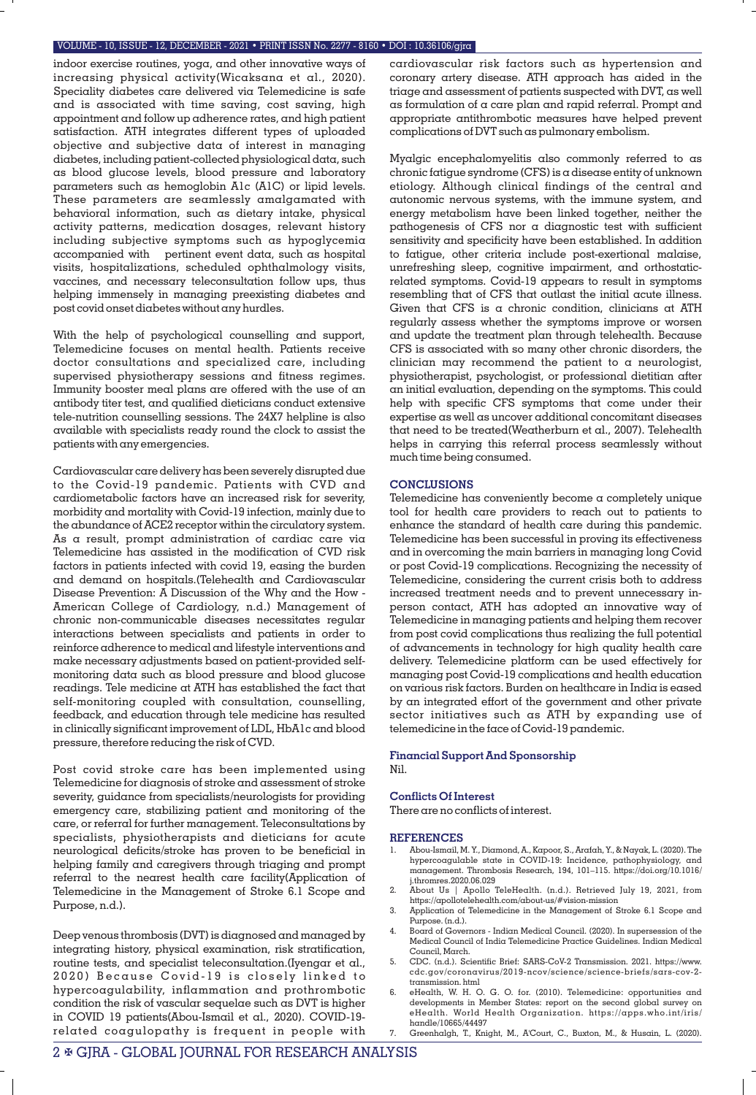#### VOLUME - 10, ISSUE - 12, DECEMBER - 2021 • PRINT ISSN No. 2277 - 8160 • DOI : 10.36106/gjra

indoor exercise routines, yoga, and other innovative ways of increasing physical activity(Wicaksana et al., 2020). Speciality diabetes care delivered via Telemedicine is safe and is associated with time saving, cost saving, high appointment and follow up adherence rates, and high patient satisfaction. ATH integrates different types of uploaded objective and subjective data of interest in managing diabetes, including patient-collected physiological data, such as blood glucose levels, blood pressure and laboratory parameters such as hemoglobin A1c (A1C) or lipid levels. These parameters are seamlessly amalgamated with behavioral information, such as dietary intake, physical activity patterns, medication dosages, relevant history including subjective symptoms such as hypoglycemia accompanied with pertinent event data, such as hospital visits, hospitalizations, scheduled ophthalmology visits, vaccines, and necessary teleconsultation follow ups, thus helping immensely in managing preexisting diabetes and post covid onset diabetes without any hurdles.

With the help of psychological counselling and support, Telemedicine focuses on mental health. Patients receive doctor consultations and specialized care, including supervised physiotherapy sessions and fitness regimes. Immunity booster meal plans are offered with the use of an antibody titer test, and qualified dieticians conduct extensive tele-nutrition counselling sessions. The 24X7 helpline is also available with specialists ready round the clock to assist the patients with any emergencies.

Cardiovascular care delivery has been severely disrupted due to the Covid-19 pandemic. Patients with CVD and cardiometabolic factors have an increased risk for severity, morbidity and mortality with Covid-19 infection, mainly due to the abundance of ACE2 receptor within the circulatory system. As a result, prompt administration of cardiac care via Telemedicine has assisted in the modification of CVD risk factors in patients infected with covid 19, easing the burden and demand on hospitals.(Telehealth and Cardiovascular Disease Prevention: A Discussion of the Why and the How - American College of Cardiology, n.d.) Management of chronic non-communicable diseases necessitates regular interactions between specialists and patients in order to reinforce adherence to medical and lifestyle interventions and make necessary adjustments based on patient-provided selfmonitoring data such as blood pressure and blood glucose readings. Tele medicine at ATH has established the fact that self-monitoring coupled with consultation, counselling, feedback, and education through tele medicine has resulted in clinically signicant improvement of LDL, HbA1c and blood pressure, therefore reducing the risk of CVD.

Post covid stroke care has been implemented using Telemedicine for diagnosis of stroke and assessment of stroke severity, guidance from specialists/neurologists for providing emergency care, stabilizing patient and monitoring of the care, or referral for further management. Teleconsultations by specialists, physiotherapists and dieticians for acute neurological deficits/stroke has proven to be beneficial in helping family and caregivers through triaging and prompt referral to the nearest health care facility(Application of Telemedicine in the Management of Stroke 6.1 Scope and Purpose, n.d.).

Deep venous thrombosis (DVT) is diagnosed and managed by integrating history, physical examination, risk stratification, routine tests, and specialist teleconsultation.(Iyengar et al., 2020) Because Covid-19 is closely linked to hypercoagulability, inflammation and prothrombotic condition the risk of vascular sequelae such as DVT is higher in COVID 19 patients(Abou-Ismail et al., 2020). COVID-19 related coagulopathy is frequent in people with

cardiovascular risk factors such as hypertension and coronary artery disease. ATH approach has aided in the triage and assessment of patients suspected with DVT, as well as formulation of a care plan and rapid referral. Prompt and appropriate antithrombotic measures have helped prevent complications of DVT such as pulmonary embolism.

Myalgic encephalomyelitis also commonly referred to as chronic fatigue syndrome (CFS) is a disease entity of unknown etiology. Although clinical findings of the central and autonomic nervous systems, with the immune system, and energy metabolism have been linked together, neither the pathogenesis of CFS nor  $\alpha$  diagnostic test with sufficient sensitivity and specificity have been established. In addition to fatigue, other criteria include post-exertional malaise, unrefreshing sleep, cognitive impairment, and orthostaticrelated symptoms. Covid-19 appears to result in symptoms resembling that of CFS that outlast the initial acute illness. Given that CFS is a chronic condition, clinicians at ATH regularly assess whether the symptoms improve or worsen and update the treatment plan through telehealth. Because CFS is associated with so many other chronic disorders, the clinician may recommend the patient to a neurologist, physiotherapist, psychologist, or professional dietitian after an initial evaluation, depending on the symptoms. This could help with specific CFS symptoms that come under their expertise as well as uncover additional concomitant diseases that need to be treated(Weatherburn et al., 2007). Telehealth helps in carrying this referral process seamlessly without much time being consumed.

### **CONCLUSIONS**

Telemedicine has conveniently become a completely unique tool for health care providers to reach out to patients to enhance the standard of health care during this pandemic. Telemedicine has been successful in proving its effectiveness and in overcoming the main barriers in managing long Covid or post Covid-19 complications. Recognizing the necessity of Telemedicine, considering the current crisis both to address increased treatment needs and to prevent unnecessary inperson contact, ATH has adopted an innovative way of Telemedicine in managing patients and helping them recover from post covid complications thus realizing the full potential of advancements in technology for high quality health care delivery. Telemedicine platform can be used effectively for managing post Covid-19 complications and health education on various risk factors. Burden on healthcare in India is eased by an integrated effort of the government and other private sector initiatives such as ATH by expanding use of telemedicine in the face of Covid-19 pandemic.

### **Financial Support And Sponsorship** Nil.

## **Conflicts Of Interest**

There are no conflicts of interest.

#### **REFERENCES**

- 1. Abou-Ismail, M. Y., Diamond, A., Kapoor, S., Arafah, Y., & Nayak, L. (2020). The hypercoagulable state in COVID-19: Incidence, pathophysiology, and management. Thrombosis Research, 194, 101–115. https://doi.org/10.1016/ j.thromres.2020.06.029
- 2. About Us | Apollo TeleHealth. (n.d.). Retrieved July 19, 2021, from https://apollotelehealth.com/about-us/#vision-mission
- 3. Application of Telemedicine in the Management of Stroke 6.1 Scope and Purpose. (n.d.).
- 4. Board of Governors Indian Medical Council. (2020). In supersession of the Medical Council of India Telemedicine Practice Guidelines. Indian Medical Council, March.
- 5. CDC. (n.d.). Scientic Brief: SARS-CoV-2 Transmission. 2021. https://www. cdc.gov/coronavirus/2019-ncov/science/science-briefs/sars-cov-2 transmission. html
- eHealth, W. H. O. G. O. for. (2010). Telemedicine: opportunities and developments in Member States: report on the second global survey on eHealth. World Health Organization. https://apps.who.int/iris/ handle/10665/44497
	- 7. Greenhalgh, T., Knight, M., A'Court, C., Buxton, M., & Husain, L. (2020).